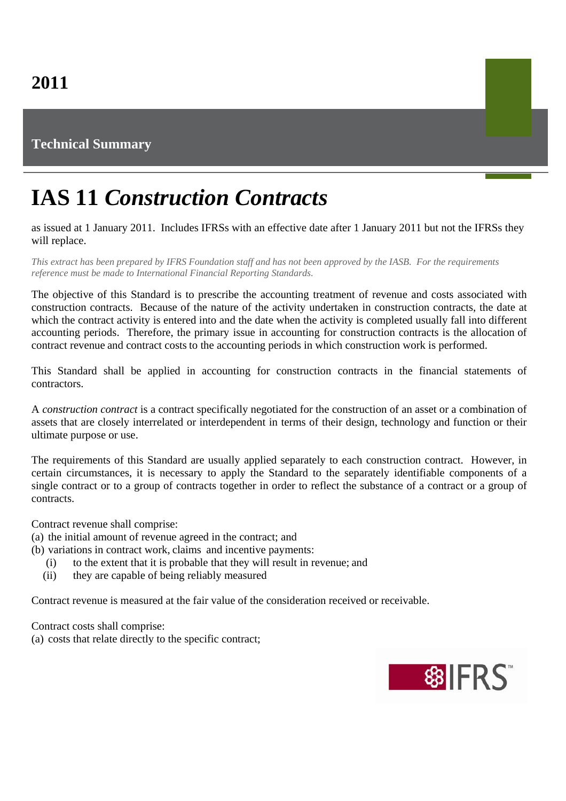## **Technical Summary**

## **IAS 11** *Construction Contracts*

as issued at 1 January 2011. Includes IFRSs with an effective date after 1 January 2011 but not the IFRSs they will replace.

*This extract has been prepared by IFRS Foundation staff and has not been approved by the IASB. For the requirements reference must be made to International Financial Reporting Standards.*

The objective of this Standard is to prescribe the accounting treatment of revenue and costs associated with construction contracts. Because of the nature of the activity undertaken in construction contracts, the date at which the contract activity is entered into and the date when the activity is completed usually fall into different accounting periods. Therefore, the primary issue in accounting for construction contracts is the allocation of contract revenue and contract costs to the accounting periods in which construction work is performed.

This Standard shall be applied in accounting for construction contracts in the financial statements of contractors.

A *construction contract* is a contract specifically negotiated for the construction of an asset or a combination of assets that are closely interrelated or interdependent in terms of their design, technology and function or their ultimate purpose or use.

The requirements of this Standard are usually applied separately to each construction contract. However, in certain circumstances, it is necessary to apply the Standard to the separately identifiable components of a single contract or to a group of contracts together in order to reflect the substance of a contract or a group of contracts.

Contract revenue shall comprise:

- (a) the initial amount of revenue agreed in the contract; and
- (b) variations in contract work, claims and incentive payments:
	- (i) to the extent that it is probable that they will result in revenue; and
	- (ii) they are capable of being reliably measured

Contract revenue is measured at the fair value of the consideration received or receivable.

Contract costs shall comprise:

(a) costs that relate directly to the specific contract;